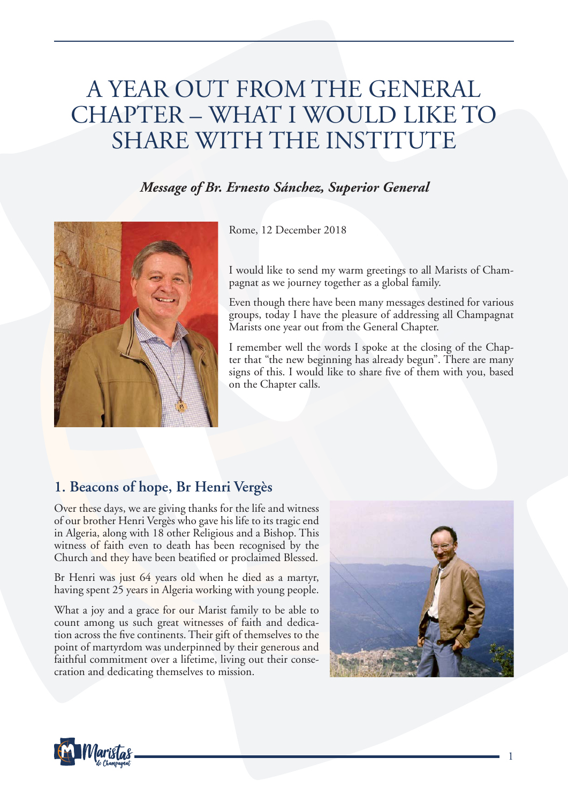# A YEAR OUT FROM THE GENERAL CHAPTER – WHAT I WOULD LIKE TO SHARE WITH THE INSTITUTE

## *Message of Br. Ernesto Sánchez, Superior General*



Rome, 12 December 2018

I would like to send my warm greetings to all Marists of Champagnat as we journey together as a global family.

Even though there have been many messages destined for various groups, today I have the pleasure of addressing all Champagnat Marists one year out from the General Chapter.

I remember well the words I spoke at the closing of the Chapter that "the new beginning has already begun". There are many signs of this. I would like to share five of them with you, based on the Chapter calls.

# **1. Beacons of hope, Br Henri Vergès**

Over these days, we are giving thanks for the life and witness of our brother Henri Vergès who gave his life to its tragic end in Algeria, along with 18 other Religious and a Bishop. This witness of faith even to death has been recognised by the Church and they have been beatified or proclaimed Blessed.

Br Henri was just 64 years old when he died as a martyr, having spent 25 years in Algeria working with young people.

What a joy and a grace for our Marist family to be able to count among us such great witnesses of faith and dedication across the five continents. Their gift of themselves to the point of martyrdom was underpinned by their generous and faithful commitment over a lifetime, living out their consecration and dedicating themselves to mission.



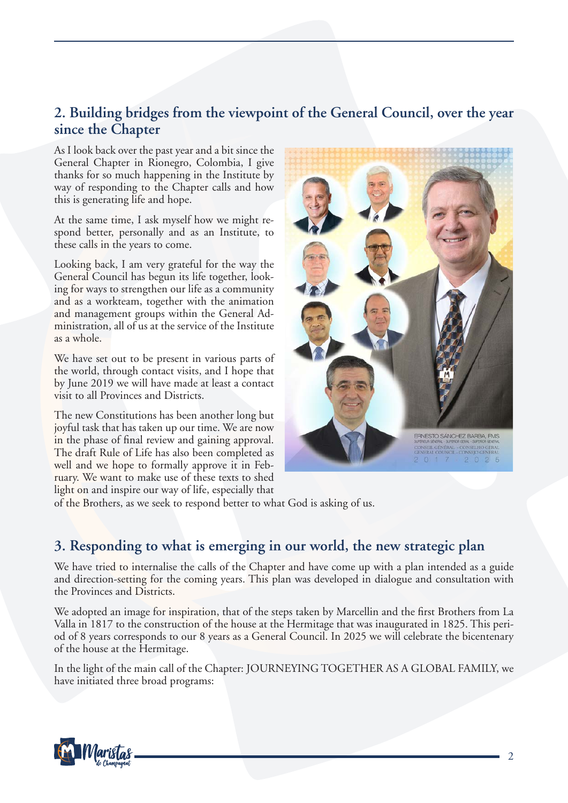## **2. Building bridges from the viewpoint of the General Council, over the year since the Chapter**

As I look back over the past year and a bit since the General Chapter in Rionegro, Colombia, I give thanks for so much happening in the Institute by way of responding to the Chapter calls and how this is generating life and hope.

At the same time, I ask myself how we might respond better, personally and as an Institute, to these calls in the years to come.

Looking back, I am very grateful for the way the General Council has begun its life together, looking for ways to strengthen our life as a community and as a workteam, together with the animation and management groups within the General Administration, all of us at the service of the Institute as a whole.

We have set out to be present in various parts of the world, through contact visits, and I hope that by June 2019 we will have made at least a contact visit to all Provinces and Districts.

The new Constitutions has been another long but joyful task that has taken up our time. We are now in the phase of final review and gaining approval. The draft Rule of Life has also been completed as well and we hope to formally approve it in February. We want to make use of these texts to shed light on and inspire our way of life, especially that



of the Brothers, as we seek to respond better to what God is asking of us.

#### **3. Responding to what is emerging in our world, the new strategic plan**

We have tried to internalise the calls of the Chapter and have come up with a plan intended as a guide and direction-setting for the coming years. This plan was developed in dialogue and consultation with the Provinces and Districts.

We adopted an image for inspiration, that of the steps taken by Marcellin and the first Brothers from La Valla in 1817 to the construction of the house at the Hermitage that was inaugurated in 1825. This period of 8 years corresponds to our 8 years as a General Council. In 2025 we will celebrate the bicentenary of the house at the Hermitage.

In the light of the main call of the Chapter: JOURNEYING TOGETHER AS A GLOBAL FAMILY, we have initiated three broad programs:

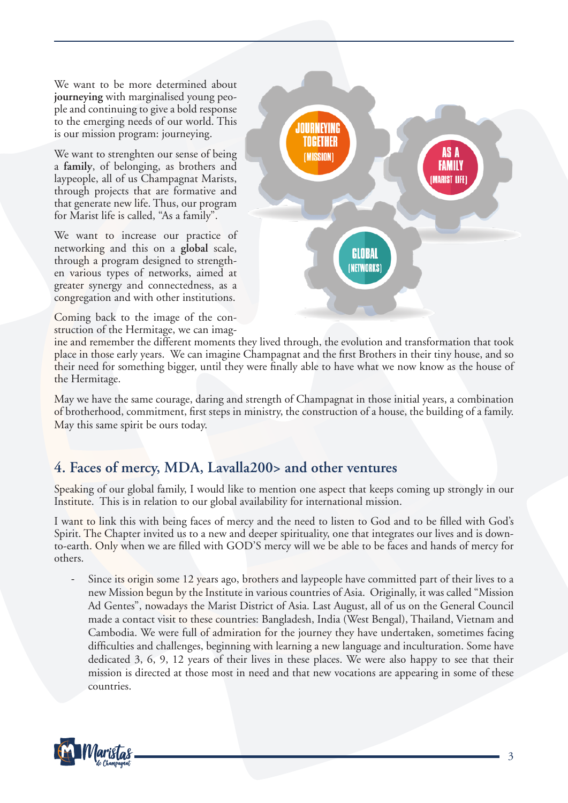We want to be more determined about **journeying** with marginalised young people and continuing to give a bold response to the emerging needs of our world. This is our mission program: journeying.

We want to strenghten our sense of being a **family**, of belonging, as brothers and laypeople, all of us Champagnat Marists, through projects that are formative and that generate new life. Thus, our program for Marist life is called, "As a family".

We want to increase our practice of networking and this on a **global** scale, through a program designed to strengthen various types of networks, aimed at greater synergy and connectedness, as a congregation and with other institutions.

Coming back to the image of the construction of the Hermitage, we can imag-



ine and remember the different moments they lived through, the evolution and transformation that took place in those early years. We can imagine Champagnat and the first Brothers in their tiny house, and so their need for something bigger, until they were finally able to have what we now know as the house of the Hermitage.

May we have the same courage, daring and strength of Champagnat in those initial years, a combination of brotherhood, commitment, first steps in ministry, the construction of a house, the building of a family. May this same spirit be ours today.

## **4. Faces of mercy, MDA, Lavalla200> and other ventures**

Speaking of our global family, I would like to mention one aspect that keeps coming up strongly in our Institute. This is in relation to our global availability for international mission.

I want to link this with being faces of mercy and the need to listen to God and to be filled with God's Spirit. The Chapter invited us to a new and deeper spirituality, one that integrates our lives and is downto-earth. Only when we are filled with GOD'S mercy will we be able to be faces and hands of mercy for others.

Since its origin some 12 years ago, brothers and laypeople have committed part of their lives to a new Mission begun by the Institute in various countries of Asia. Originally, it was called "Mission Ad Gentes", nowadays the Marist District of Asia. Last August, all of us on the General Council made a contact visit to these countries: Bangladesh, India (West Bengal), Thailand, Vietnam and Cambodia. We were full of admiration for the journey they have undertaken, sometimes facing difficulties and challenges, beginning with learning a new language and inculturation. Some have dedicated 3, 6, 9, 12 years of their lives in these places. We were also happy to see that their mission is directed at those most in need and that new vocations are appearing in some of these countries.

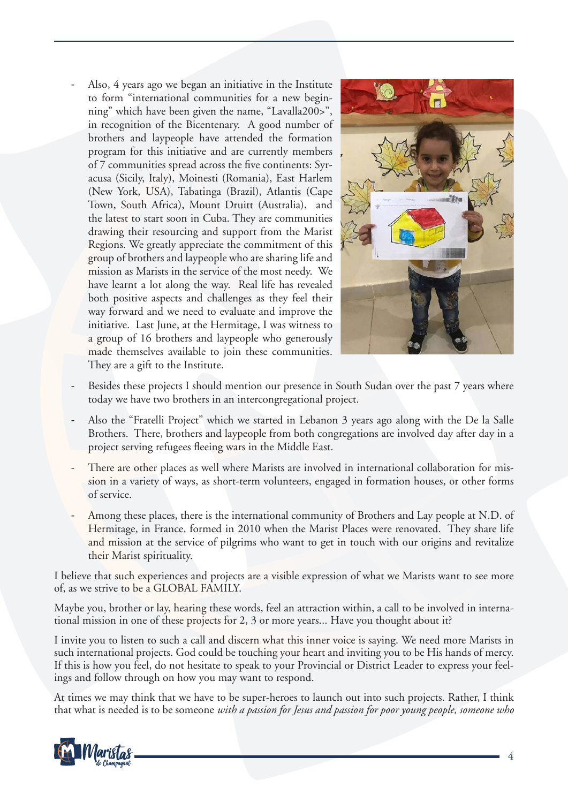Also, 4 years ago we began an initiative in the Institute to form "international communities for a new beginning" which have been given the name, "Lavalla200>", in recognition of the Bicentenary. A good number of brothers and laypeople have attended the formation program for this initiative and are currently members of 7 communities spread across the five continents: Syracusa (Sicily, Italy), Moinesti (Romania), East Harlem (New York, USA), Tabatinga (Brazil), Atlantis (Cape Town, South Africa), Mount Druitt (Australia), and the latest to start soon in Cuba. They are communities drawing their resourcing and support from the Marist Regions. We greatly appreciate the commitment of this group of brothers and laypeople who are sharing life and mission as Marists in the service of the most needy. We have learnt a lot along the way. Real life has revealed both positive aspects and challenges as they feel their way forward and we need to evaluate and improve the initiative. Last June, at the Hermitage, I was witness to a group of 16 brothers and laypeople who generously made themselves available to join these communities. They are a gift to the Institute.



- Besides these projects I should mention our presence in South Sudan over the past 7 years where today we have two brothers in an intercongregational project.
- Also the "Fratelli Project" which we started in Lebanon 3 years ago along with the De la Salle Brothers. There, brothers and laypeople from both congregations are involved day after day in a project serving refugees fleeing wars in the Middle East.
- There are other places as well where Marists are involved in international collaboration for mission in a variety of ways, as short-term volunteers, engaged in formation houses, or other forms of service.
- Among these places, there is the international community of Brothers and Lay people at N.D. of Hermitage, in France, formed in 2010 when the Marist Places were renovated. They share life and mission at the service of pilgrims who want to get in touch with our origins and revitalize their Marist spirituality.

I believe that such experiences and projects are a visible expression of what we Marists want to see more of, as we strive to be a GLOBAL FAMILY.

Maybe you, brother or lay, hearing these words, feel an attraction within, a call to be involved in international mission in one of these projects for 2, 3 or more years... Have you thought about it?

I invite you to listen to such a call and discern what this inner voice is saying. We need more Marists in such international projects. God could be touching your heart and inviting you to be His hands of mercy. If this is how you feel, do not hesitate to speak to your Provincial or District Leader to express your feelings and follow through on how you may want to respond.

At times we may think that we have to be super-heroes to launch out into such projects. Rather, I think that what is needed is to be someone *with a passion for Jesus and passion for poor young people, someone who* 

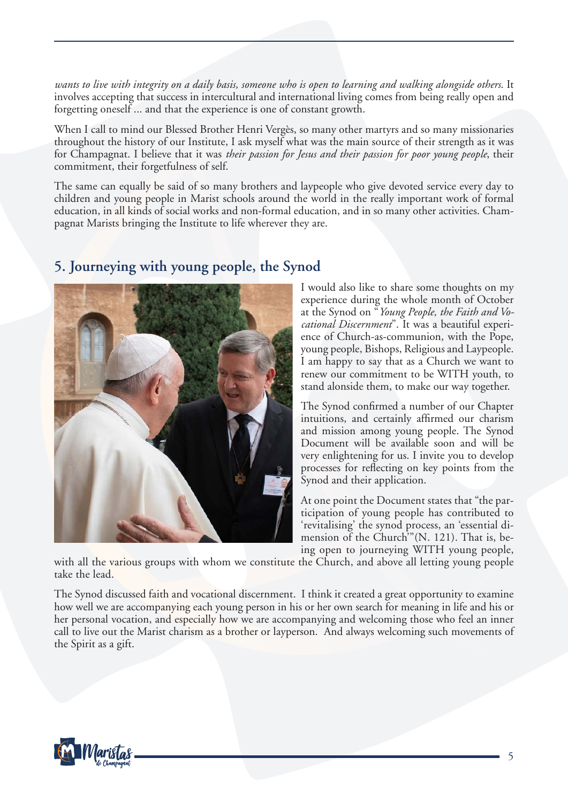*wants to live with integrity on a daily basis, someone who is open to learning and walking alongside others*. It involves accepting that success in intercultural and international living comes from being really open and forgetting oneself ... and that the experience is one of constant growth.

When I call to mind our Blessed Brother Henri Vergès, so many other martyrs and so many missionaries throughout the history of our Institute, I ask myself what was the main source of their strength as it was for Champagnat. I believe that it was *their passion for Jesus and their passion for poor young people*, their commitment, their forgetfulness of self.

The same can equally be said of so many brothers and laypeople who give devoted service every day to children and young people in Marist schools around the world in the really important work of formal education, in all kinds of social works and non-formal education, and in so many other activities. Champagnat Marists bringing the Institute to life wherever they are.



#### **5. Journeying with young people, the Synod**

I would also like to share some thoughts on my experience during the whole month of October at the Synod on "*Young People, the Faith and Vocational Discernment*". It was a beautiful experience of Church-as-communion, with the Pope, young people, Bishops, Religious and Laypeople. I am happy to say that as a Church we want to renew our commitment to be WITH youth, to stand alonside them, to make our way together.

The Synod confirmed a number of our Chapter intuitions, and certainly affirmed our charism and mission among young people. The Synod Document will be available soon and will be very enlightening for us. I invite you to develop processes for reflecting on key points from the Synod and their application.

At one point the Document states that "the participation of young people has contributed to 'revitalising' the synod process, an 'essential dimension of the Church<sup>3</sup>"(N. 121). That is, being open to journeying WITH young people,

with all the various groups with whom we constitute the Church, and above all letting young people take the lead.

The Synod discussed faith and vocational discernment. I think it created a great opportunity to examine how well we are accompanying each young person in his or her own search for meaning in life and his or her personal vocation, and especially how we are accompanying and welcoming those who feel an inner call to live out the Marist charism as a brother or layperson. And always welcoming such movements of the Spirit as a gift.